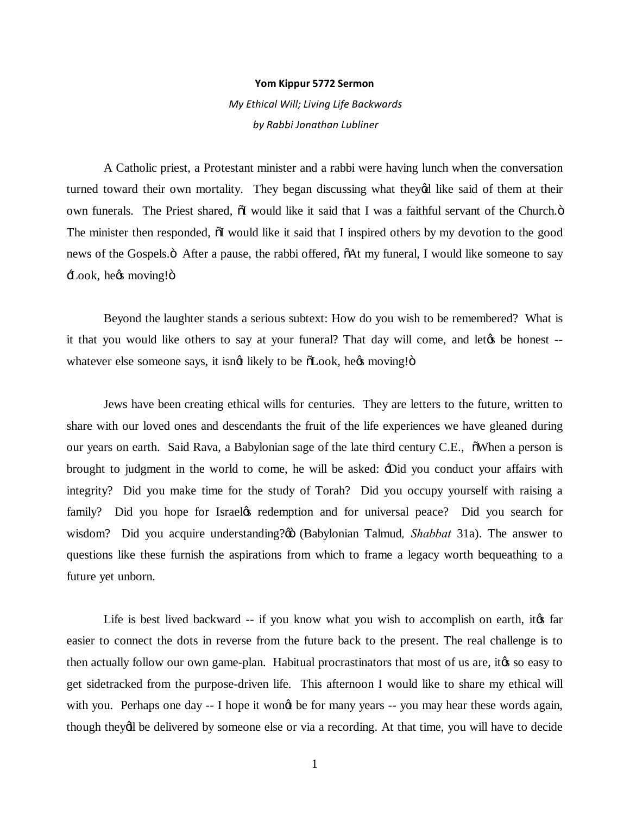## **Yom Kippur 5772 Sermon**

*My Ethical Will; Living Life Backwards by Rabbi Jonathan Lubliner*

A Catholic priest, a Protestant minister and a rabbi were having lunch when the conversation turned toward their own mortality. They began discussing what theyed like said of them at their own funerals. The Priest shared,  $\ddot{\text{o}}$  would like it said that I was a faithful servant of the Church. $\ddot{\text{o}}$ The minister then responded,  $\ddot{\text{o}}I$  would like it said that I inspired others by my devotion to the good news of the Gospels. After a pause, the rabbi offered,  $\tilde{o}$ At my funeral, I would like someone to say Look, he*g*s moving!"

Beyond the laughter stands a serious subtext: How do you wish to be remembered? What is it that you would like others to say at your funeral? That day will come, and let the be honest -whatever else someone says, it isngt likely to be  $\delta$ Look, hegs moving! $\delta$ 

Jews have been creating ethical wills for centuries. They are letters to the future, written to share with our loved ones and descendants the fruit of the life experiences we have gleaned during our years on earth. Said Rava, a Babylonian sage of the late third century C.E., "When a person is brought to judgment in the world to come, he will be asked: 'Did you conduct your affairs with integrity? Did you make time for the study of Torah? Did you occupy yourself with raising a family? Did you hope for Israel the redemption and for universal peace? Did you search for wisdom? Did you acquire understanding?% (Babylonian Talmud, Shabbat 31a). The answer to questions like these furnish the aspirations from which to frame a legacy worth bequeathing to a future yet unborn.

Life is best lived backward -- if you know what you wish to accomplish on earth, it as far easier to connect the dots in reverse from the future back to the present. The real challenge is to then actually follow our own game-plan. Habitual procrastinators that most of us are, its so easy to get sidetracked from the purpose-driven life. This afternoon I would like to share my ethical will with you. Perhaps one day -- I hope it wong be for many years -- you may hear these words again, though theydl be delivered by someone else or via a recording. At that time, you will have to decide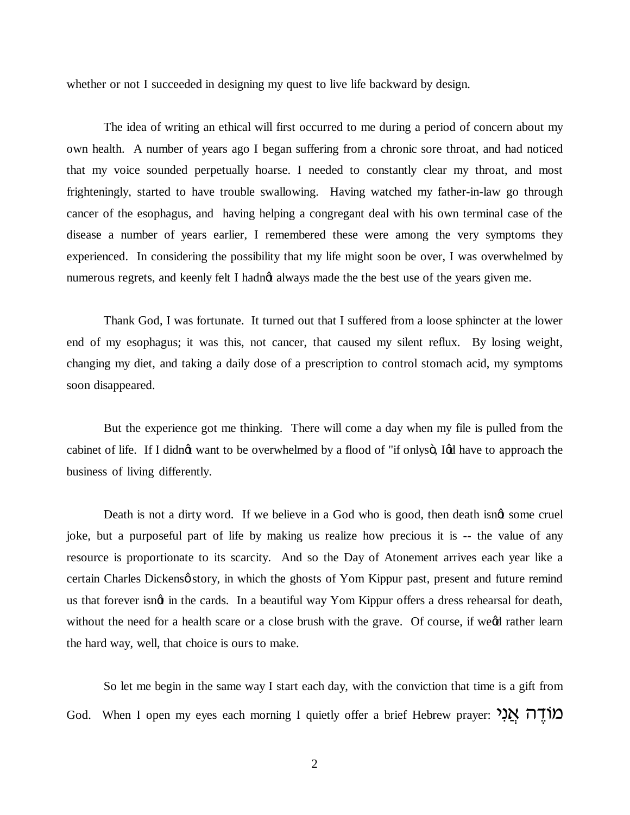whether or not I succeeded in designing my quest to live life backward by design.

The idea of writing an ethical will first occurred to me during a period of concern about my own health. A number of years ago I began suffering from a chronic sore throat, and had noticed that my voice sounded perpetually hoarse. I needed to constantly clear my throat, and most frighteningly, started to have trouble swallowing. Having watched my father-in-law go through cancer of the esophagus, and having helping a congregant deal with his own terminal case of the disease a number of years earlier, I remembered these were among the very symptoms they experienced. In considering the possibility that my life might soon be over, I was overwhelmed by numerous regrets, and keenly felt I hadnot always made the the best use of the years given me.

Thank God, I was fortunate. It turned out that I suffered from a loose sphincter at the lower end of my esophagus; it was this, not cancer, that caused my silent reflux. By losing weight, changing my diet, and taking a daily dose of a prescription to control stomach acid, my symptoms soon disappeared.

But the experience got me thinking. There will come a day when my file is pulled from the cabinet of life. If I didngt want to be overwhelmed by a flood of "if onlysö, Igd have to approach the business of living differently.

Death is not a dirty word. If we believe in a God who is good, then death isngt some cruel joke, but a purposeful part of life by making us realize how precious it is -- the value of any resource is proportionate to its scarcity. And so the Day of Atonement arrives each year like a certain Charles Dickens o story, in which the ghosts of Yom Kippur past, present and future remind us that forever isngt in the cards. In a beautiful way Yom Kippur offers a dress rehearsal for death, without the need for a health scare or a close brush with the grave. Of course, if weed rather learn the hard way, well, that choice is ours to make.

So let me begin in the same way I start each day, with the conviction that time is a gift from God. When I open my eyes each morning I quietly offer a brief Hebrew prayer: מוֹדָה אֲנִי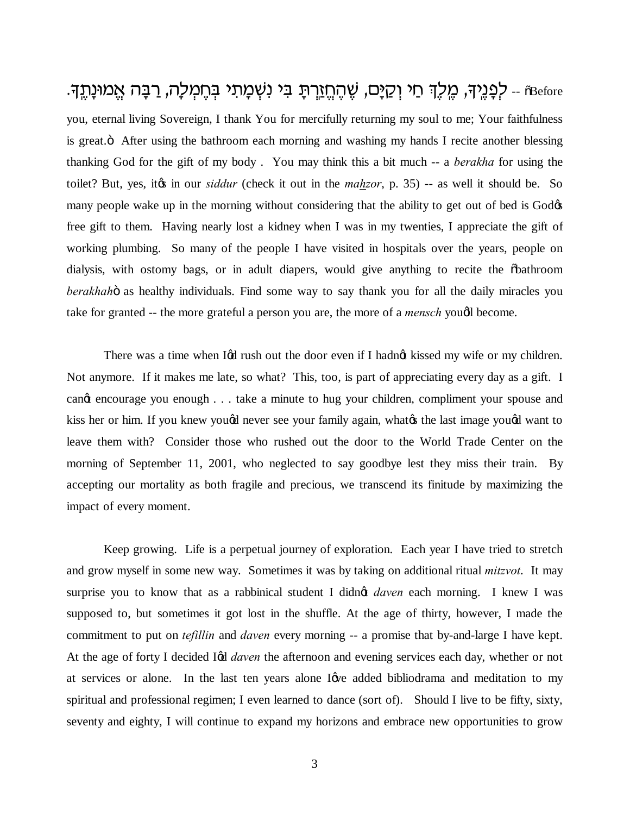ة -- לְפָנֵיךָ, מֱלֶךָ חַי וְקַיָּם, שֶׁהֶחֱזַרֶתָּ בִּי נִשְׁמָתִי בְּחֶמְלָה, רַבָּה אֱמוּנָתֶדְּ. you, eternal living Sovereign, I thank You for mercifully returning my soul to me; Your faithfulness is great. The After using the bathroom each morning and washing my hands I recite another blessing thanking God for the gift of my body . You may think this a bit much -- a *berakha* for using the toilet? But, yes, it« in our *siddur* (check it out in the *mahzor*, p. 35) -- as well it should be. So many people wake up in the morning without considering that the ability to get out of bed is God $\alpha$ free gift to them. Having nearly lost a kidney when I was in my twenties, I appreciate the gift of working plumbing. So many of the people I have visited in hospitals over the years, people on dialysis, with ostomy bags, or in adult diapers, would give anything to recite the  $\delta$ bathroom berakhahö as healthy individuals. Find some way to say thank you for all the daily miracles you take for granted -- the more grateful a person you are, the more of a *mensch* youdl become.

There was a time when Igd rush out the door even if I hadng kissed my wife or my children. Not anymore. If it makes me late, so what? This, too, is part of appreciating every day as a gift. I cange encourage you enough . . . take a minute to hug your children, compliment your spouse and kiss her or him. If you knew yougd never see your family again, what the last image yougd want to leave them with? Consider those who rushed out the door to the World Trade Center on the morning of September 11, 2001, who neglected to say goodbye lest they miss their train. By accepting our mortality as both fragile and precious, we transcend its finitude by maximizing the impact of every moment.

Keep growing. Life is a perpetual journey of exploration. Each year I have tried to stretch and grow myself in some new way. Sometimes it was by taking on additional ritual *mitzvot*. It may surprise you to know that as a rabbinical student I didnot *daven* each morning. I knew I was supposed to, but sometimes it got lost in the shuffle. At the age of thirty, however, I made the commitment to put on *tefillin* and *daven* every morning -- a promise that by-and-large I have kept. At the age of forty I decided Igd *daven* the afternoon and evening services each day, whether or not at services or alone. In the last ten years alone I give added bibliodrama and meditation to my spiritual and professional regimen; I even learned to dance (sort of). Should I live to be fifty, sixty, seventy and eighty, I will continue to expand my horizons and embrace new opportunities to grow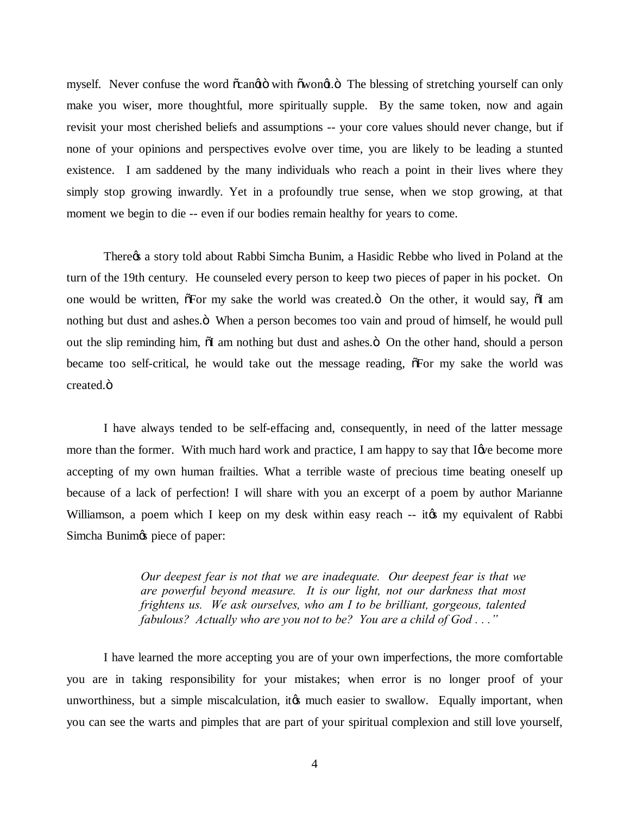myself. Never confuse the word  $\tilde{o}$ cangto with  $\tilde{o}$ wongt. $\tilde{o}$  The blessing of stretching yourself can only make you wiser, more thoughtful, more spiritually supple. By the same token, now and again revisit your most cherished beliefs and assumptions -- your core values should never change, but if none of your opinions and perspectives evolve over time, you are likely to be leading a stunted existence. I am saddened by the many individuals who reach a point in their lives where they simply stop growing inwardly. Yet in a profoundly true sense, when we stop growing, at that moment we begin to die -- even if our bodies remain healthy for years to come.

There's a story told about Rabbi Simcha Bunim, a Hasidic Rebbe who lived in Poland at the turn of the 19th century. He counseled every person to keep two pieces of paper in his pocket. On one would be written,  $\tilde{\sigma}$  For my sake the world was created. $\ddot{\sigma}$  On the other, it would say,  $\tilde{\sigma}$ I am nothing but dust and ashes. <sup>T</sup> When a person becomes too vain and proud of himself, he would pull out the slip reminding him,  $\ddot{\text{o}}$  am nothing but dust and ashes. $\ddot{\text{o}}$  On the other hand, should a person became too self-critical, he would take out the message reading,  $\delta$ For my sake the world was created.<sub> $ö$ </sub>

I have always tended to be self-effacing and, consequently, in need of the latter message more than the former. With much hard work and practice, I am happy to say that I give become more accepting of my own human frailties. What a terrible waste of precious time beating oneself up because of a lack of perfection! I will share with you an excerpt of a poem by author Marianne Williamson, a poem which I keep on my desk within easy reach -- it to my equivalent of Rabbi Simcha Bunim<sub><sup>gs</sub></sup> piece of paper:</sub>

> *Our deepest fear is not that we are inadequate. Our deepest fear is that we are powerful beyond measure. It is our light, not our darkness that most frightens us. We ask ourselves, who am I to be brilliant, gorgeous, talented fabulous? Actually who are you not to be? You are a child of God . . ."*

I have learned the more accepting you are of your own imperfections, the more comfortable you are in taking responsibility for your mistakes; when error is no longer proof of your unworthiness, but a simple miscalculation, it to much easier to swallow. Equally important, when you can see the warts and pimples that are part of your spiritual complexion and still love yourself,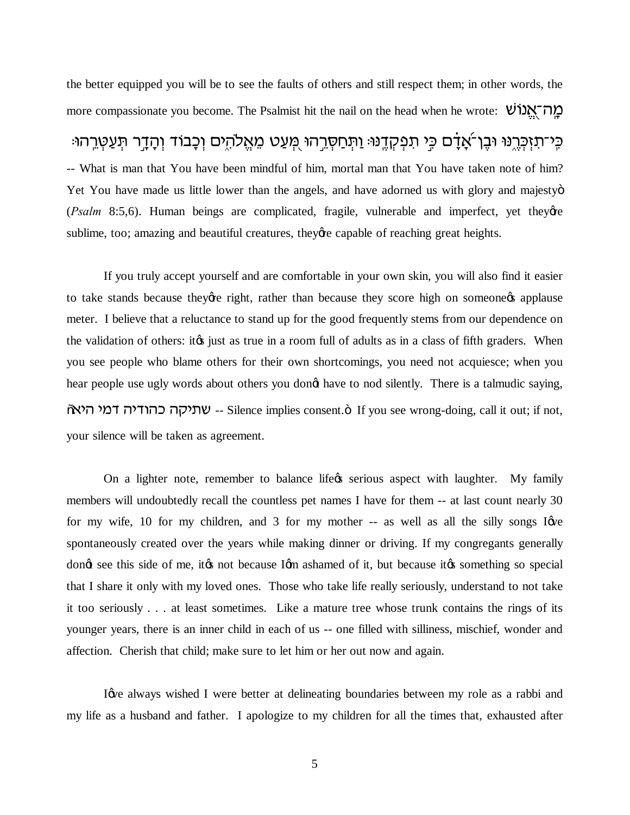the better equipped you will be to see the faults of others and still respect them; in other words, the more compassionate you become. The Psalmist hit the nail on the head when he wrote: "אֲנוֹשׁ

ּפֵי־תַזְּכָּרֶנּוּ וּבֵן־אֲדָם כֵּי תִפְקָדֵנּוּּ וַתְּחַסָּרֶהוּ מֻעַט מֵאֱלֹהָים וְכָבוֹד וְהָדֵר תִּעֲטְרֶהוּ -- What is man that You have been mindful of him, mortal man that You have taken note of him? Yet You have made us little lower than the angels, and have adorned us with glory and majestyo (*Psalm* 8:5,6). Human beings are complicated, fragile, vulnerable and imperfect, yet theye sublime, too; amazing and beautiful creatures, they're capable of reaching great heights.

If you truly accept yourself and are comfortable in your own skin, you will also find it easier to take stands because they are right, rather than because they score high on someone applause meter. I believe that a reluctance to stand up for the good frequently stems from our dependence on the validation of others: it is just as true in a room full of adults as in a class of fifth graders. When you see people who blame others for their own shortcomings, you need not acquiesce; when you hear people use ugly words about others you dongt have to nod silently. There is a talmudic saying,  $\tilde{\sigma}$ ישתיקה כהודיה דמי היא $\tilde{\sigma}$  -- Silence implies consent. $\ddot{\sigma}$  If you see wrong-doing, call it out; if not, your silence will be taken as agreement.

On a lighter note, remember to balance life *g* serious aspect with laughter. My family members will undoubtedly recall the countless pet names I have for them -- at last count nearly 30 for my wife, 10 for my children, and 3 for my mother  $-$  as well as all the silly songs I  $\phi$ spontaneously created over the years while making dinner or driving. If my congregants generally dong see this side of me, it to not because Igm ashamed of it, but because it to something so special that I share it only with my loved ones. Those who take life really seriously, understand to not take it too seriously . . . at least sometimes. Like a mature tree whose trunk contains the rings of its younger years, there is an inner child in each of us -- one filled with silliness, mischief, wonder and affection. Cherish that child; make sure to let him or her out now and again.

I give always wished I were better at delineating boundaries between my role as a rabbi and my life as a husband and father. I apologize to my children for all the times that, exhausted after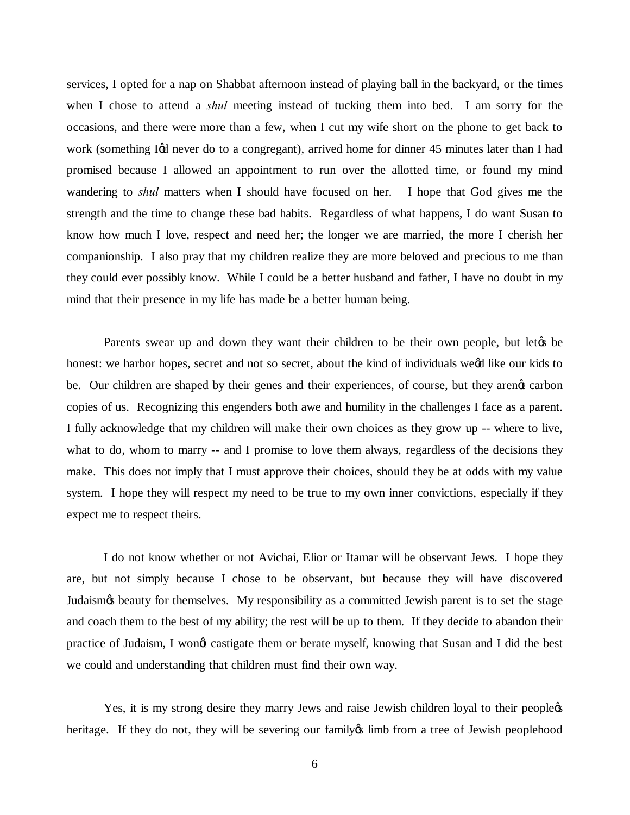services, I opted for a nap on Shabbat afternoon instead of playing ball in the backyard, or the times when I chose to attend a *shul* meeting instead of tucking them into bed. I am sorry for the occasions, and there were more than a few, when I cut my wife short on the phone to get back to work (something Igd never do to a congregant), arrived home for dinner 45 minutes later than I had promised because I allowed an appointment to run over the allotted time, or found my mind wandering to *shul* matters when I should have focused on her. I hope that God gives me the strength and the time to change these bad habits. Regardless of what happens, I do want Susan to know how much I love, respect and need her; the longer we are married, the more I cherish her companionship. I also pray that my children realize they are more beloved and precious to me than they could ever possibly know. While I could be a better husband and father, I have no doubt in my mind that their presence in my life has made be a better human being.

Parents swear up and down they want their children to be their own people, but let the behonest: we harbor hopes, secret and not so secret, about the kind of individuals weed like our kids to be. Our children are shaped by their genes and their experiences, of course, but they arengt carbon copies of us. Recognizing this engenders both awe and humility in the challenges I face as a parent. I fully acknowledge that my children will make their own choices as they grow up -- where to live, what to do, whom to marry -- and I promise to love them always, regardless of the decisions they make. This does not imply that I must approve their choices, should they be at odds with my value system. I hope they will respect my need to be true to my own inner convictions, especially if they expect me to respect theirs.

I do not know whether or not Avichai, Elior or Itamar will be observant Jews. I hope they are, but not simply because I chose to be observant, but because they will have discovered Judaism's beauty for themselves. My responsibility as a committed Jewish parent is to set the stage and coach them to the best of my ability; the rest will be up to them. If they decide to abandon their practice of Judaism, I wongt castigate them or berate myself, knowing that Susan and I did the best we could and understanding that children must find their own way.

Yes, it is my strong desire they marry Jews and raise Jewish children loyal to their people  $\alpha$ heritage. If they do not, they will be severing our family imb from a tree of Jewish peoplehood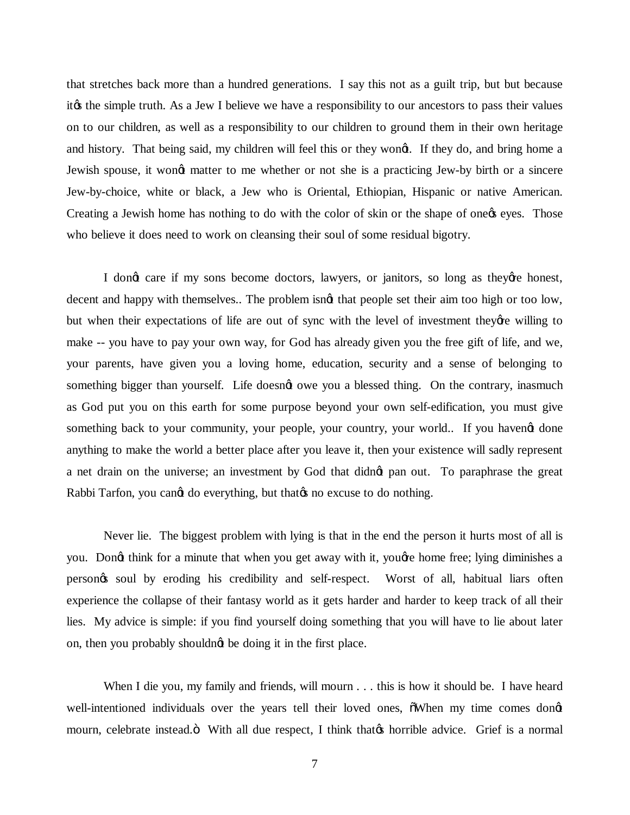that stretches back more than a hundred generations. I say this not as a guilt trip, but but because it is the simple truth. As a Jew I believe we have a responsibility to our ancestors to pass their values on to our children, as well as a responsibility to our children to ground them in their own heritage and history. That being said, my children will feel this or they wong. If they do, and bring home a Jewish spouse, it wongt matter to me whether or not she is a practicing Jew-by birth or a sincere Jew-by-choice, white or black, a Jew who is Oriental, Ethiopian, Hispanic or native American. Creating a Jewish home has nothing to do with the color of skin or the shape of one  $\alpha$  eyes. Those who believe it does need to work on cleansing their soul of some residual bigotry.

I dong care if my sons become doctors, lawyers, or janitors, so long as they're honest, decent and happy with themselves.. The problem isngt that people set their aim too high or too low, but when their expectations of life are out of sync with the level of investment they're willing to make -- you have to pay your own way, for God has already given you the free gift of life, and we, your parents, have given you a loving home, education, security and a sense of belonging to something bigger than yourself. Life doesngt owe you a blessed thing. On the contrary, inasmuch as God put you on this earth for some purpose beyond your own self-edification, you must give something back to your community, your people, your country, your world.. If you havengt done anything to make the world a better place after you leave it, then your existence will sadly represent a net drain on the universe; an investment by God that didnet pan out. To paraphrase the great Rabbi Tarfon, you cangt do everything, but that  $\alpha$  no excuse to do nothing.

Never lie. The biggest problem with lying is that in the end the person it hurts most of all is you. Dongt think for a minute that when you get away with it, youghe home free; lying diminishes a person's soul by eroding his credibility and self-respect. Worst of all, habitual liars often experience the collapse of their fantasy world as it gets harder and harder to keep track of all their lies. My advice is simple: if you find yourself doing something that you will have to lie about later on, then you probably shouldng be doing it in the first place.

When I die you, my family and friends, will mourn . . . this is how it should be. I have heard well-intentioned individuals over the years tell their loved ones,  $\delta$ When my time comes dongt mourn, celebrate instead. Ö With all due respect, I think that that is a dorice. Grief is a normal